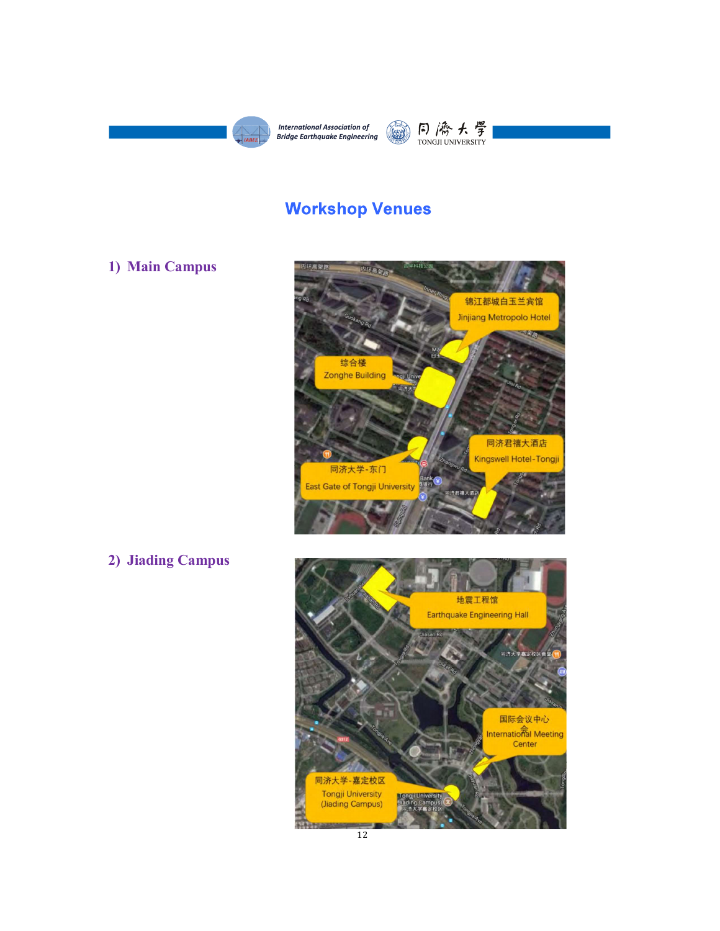



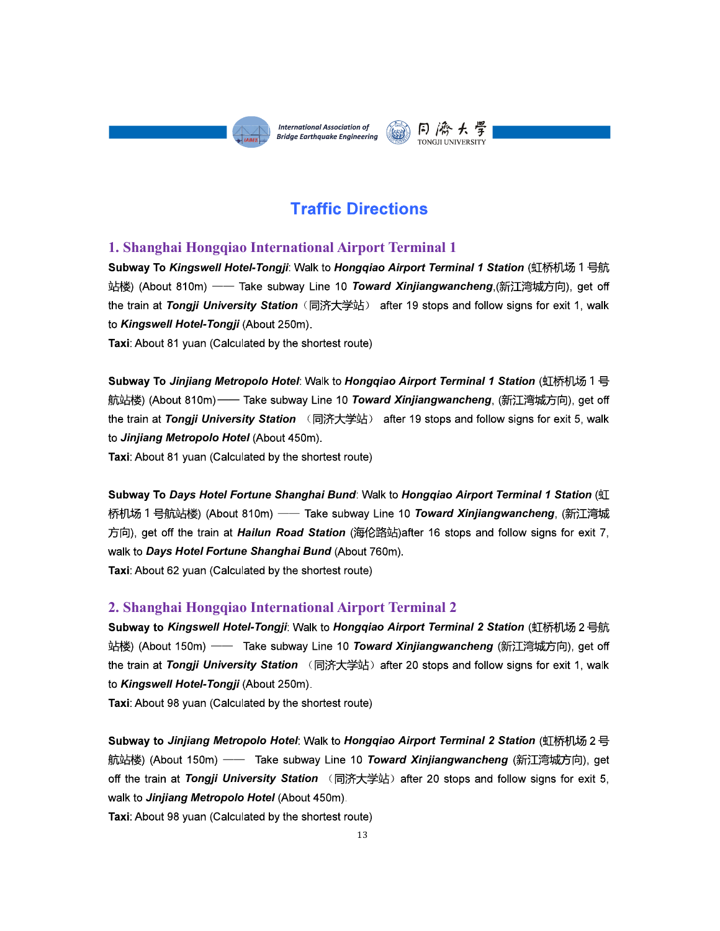

1. Shanghai Hongqiao International Association of (S) (A)<br>
F. (A)<br>
1. Shanghai Hongqiao International Airport Terminal 1<br>
3. Shanghai Hongqiao International Airport Terminal 1<br>
3. Shanghai Hongqiao International Airport Subway To Kingswell Hotel-Tongji: Walk to Hongqiao Airport Terminal 1 Station (虹桥机场 1 号航 站楼) (About 810m) —— Take subway Line 10 Toward Xinjiangwancheng (新江湾城方向), get off the train at Tongji University Station (同济大学站) after 19 stops and follow signs for exit 1, walk to Kingswell Hotel-Tongji (About 250m).

Subway To Jinjiang Metropolo Hotel: Walk to Hongqiao Airport Terminal 1 Station (虹桥机场 1 号 航站楼) (About 810m)—— Take subway Line 10 Toward Xinjiangwancheng, (新江湾城方向), get off the train at Tongji University Station (同济大学站) after 19 stops and follow signs for exit 5, walk to Jinjiang Metropolo Hotel (About 450m).

Subway To Days Hotel Fortune Shanghai Bund: Walk to Hongqiao Airport Terminal 1 Station (虹 桥机场 1 号航站楼) (About 810m) —— Take subway Line 10 **Toward Xinjiangwancheng** (新江湾城 方向), get off the train at *Hailun Road Station* (海伦路站)after 16 stops and follow signs for exit 7, walk to Days Hotel Fortune Shanghai Bund (About 760m). the train at *Tongyl University Station* (同济大学52) after 19 stops and tollow signs for exit 1, walk<br>Taxi: About 81 yuan (Calculated by the shortest route)<br>Taxi: About 81 yuan (Calculated by the shortest route)<br>Subway To *J* 

Subway to Kingswell Hotel-Tongji: Walk to Hongqiao Airport Terminal 2 Station (虹桥机场 2 号航 站楼) (About 150m) —— Take subway Line 10 Toward Xinjiangwancheng (新江湾城方向), get off the train at Tongji University Station (同济大学站) after 20 stops and follow signs for exit 1, walk to Kingswell Hotel-Tongji (About 250m).

Taxi: About 98 yuan (Calculated by the shortest route)

Subway to Jinjiang Metropolo Hotel: Walk to Hongqiao Airport Terminal 2 Station (虹桥机场 2 号 航站楼) (About 150m) —— Take subway Line 10 **Toward Xinjiangwancheng** (新江湾城方向), get off the train at Tongji University Station (同济大学站) after 20 stops and follow signs for exit 5, walk to Jinjiang Metropolo Hotel (About 450m).

Taxi: About 98 yuan (Calculated by the shortest route)